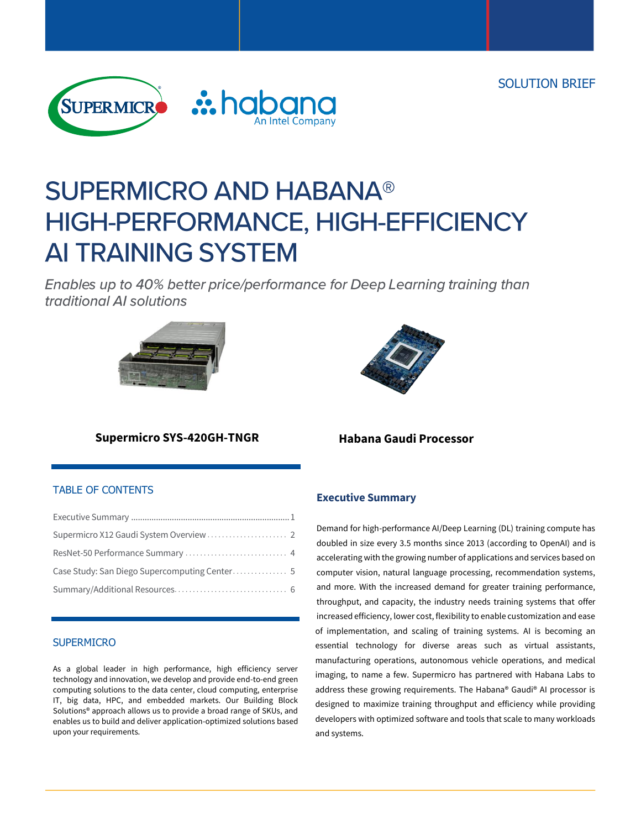SOLUTION BRIEF



# **SUPERMICRO AND HABANA®** HIGH-PERFORMANCE, HIGH-EFFICIENCY **AI TRAINING SYSTEM**

Enables up to 40% better price/performance for Deep Learning training than traditional AI solutions





## **Supermicro SYS-420GH-TNGR**

## TABLE OF CONTENTS

### **SUPERMICRO**

As a global leader in high performance, high efficiency server technology and innovation, we develop and provide end-to-end green computing solutions to the data center, cloud computing, enterprise IT, big data, HPC, and embedded markets. Our Building Block Solutions® approach allows us to provide a broad range of SKUs, and enables us to build and deliver application-optimized solutions based upon your requirements.

**Habana Gaudi Processor**

## **Executive Summary**

Demand for high-performance AI/Deep Learning (DL) training compute has doubled in size every 3.5 months since 2013 (according to OpenAI) and is accelerating with the growing number of applications and services based on computer vision, natural language processing, recommendation systems, and more. With the increased demand for greater training performance, throughput, and capacity, the industry needs training systems that offer increased efficiency, lower cost, flexibility to enable customization and ease of implementation, and scaling of training systems. AI is becoming an essential technology for diverse areas such as virtual assistants, manufacturing operations, autonomous vehicle operations, and medical imaging, to name a few. Supermicro has partnered with Habana Labs to address these growing requirements. The Habana® Gaudi® AI processor is designed to maximize training throughput and efficiency while providing developers with optimized software and tools that scale to many workloads and systems.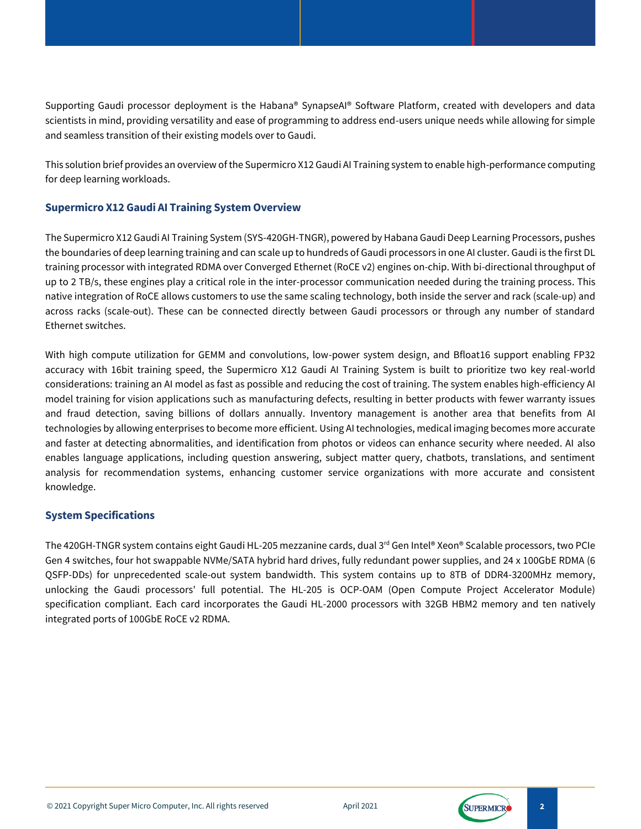Supporting Gaudi processor deployment is the Habana® SynapseAI® Software Platform, created with developers and data scientists in mind, providing versatility and ease of programming to address end-users unique needs while allowing for simple and seamless transition of their existing models over to Gaudi.

This solution brief provides an overview of the Supermicro X12 Gaudi AI Training system to enable high-performance computing for deep learning workloads.

## **Supermicro X12 Gaudi AI Training System Overview**

The Supermicro X12 Gaudi AI Training System (SYS-420GH-TNGR), powered by Habana Gaudi Deep Learning Processors, pushes the boundaries of deep learning training and can scale up to hundreds of Gaudi processors in one AI cluster. Gaudi is the first DL training processor with integrated RDMA over Converged Ethernet (RoCE v2) engines on-chip. With bi-directional throughput of up to 2 TB/s, these engines play a critical role in the inter-processor communication needed during the training process. This native integration of RoCE allows customers to use the same scaling technology, both inside the server and rack (scale-up) and across racks (scale-out). These can be connected directly between Gaudi processors or through any number of standard Ethernet switches.

With high compute utilization for GEMM and convolutions, low-power system design, and Bfloat16 support enabling FP32 accuracy with 16bit training speed, the Supermicro X12 Gaudi AI Training System is built to prioritize two key real-world considerations: training an AI model as fast as possible and reducing the cost of training. The system enables high-efficiency AI model training for vision applications such as manufacturing defects, resulting in better products with fewer warranty issues and fraud detection, saving billions of dollars annually. Inventory management is another area that benefits from AI technologies by allowing enterprises to become more efficient. Using AI technologies, medical imaging becomes more accurate and faster at detecting abnormalities, and identification from photos or videos can enhance security where needed. AI also enables language applications, including question answering, subject matter query, chatbots, translations, and sentiment analysis for recommendation systems, enhancing customer service organizations with more accurate and consistent knowledge.

## **System Specifications**

The 420GH-TNGR system contains eight Gaudi HL-205 mezzanine cards, dual 3<sup>rd</sup> Gen Intel® Xeon® Scalable processors, two PCIe Gen 4 switches, four hot swappable NVMe/SATA hybrid hard drives, fully redundant power supplies, and 24 x 100GbE RDMA (6 QSFP-DDs) for unprecedented scale-out system bandwidth. This system contains up to 8TB of DDR4-3200MHz memory, unlocking the Gaudi processors' full potential. The HL-205 is OCP-OAM (Open Compute Project Accelerator Module) specification compliant. Each card incorporates the Gaudi HL-2000 processors with 32GB HBM2 memory and ten natively integrated ports of 100GbE RoCE v2 RDMA.



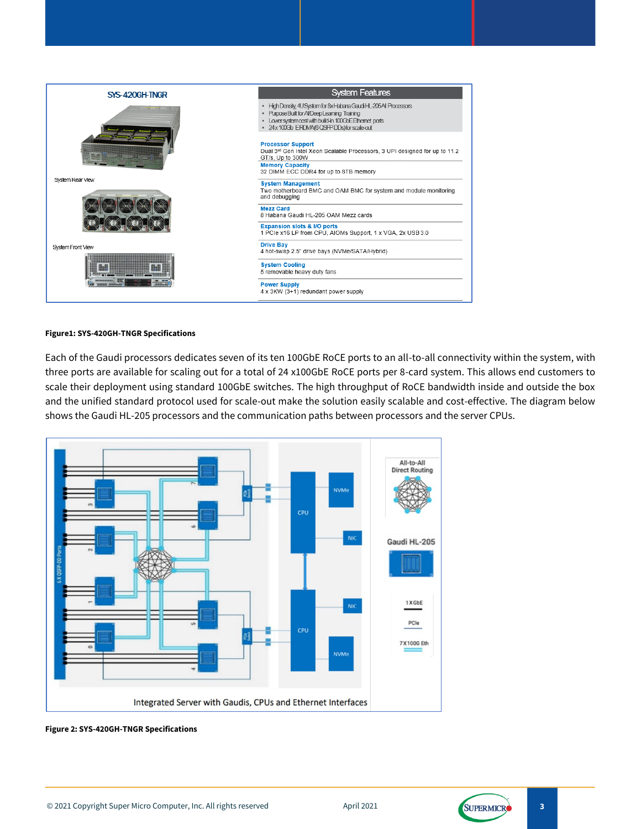

#### **Figure1: SYS-420GH-TNGR Specifications**

Each of the Gaudi processors dedicates seven of its ten 100GbE RoCE ports to an all-to-all connectivity within the system, with three ports are available for scaling out for a total of 24 x100GbE RoCE ports per 8-card system. This allows end customers to scale their deployment using standard 100GbE switches. The high throughput of RoCE bandwidth inside and outside the box and the unified standard protocol used for scale-out make the solution easily scalable and cost-effective. The diagram below shows the Gaudi HL-205 processors and the communication paths between processors and the server CPUs.



**Figure 2: SYS-420GH-TNGR Specifications**

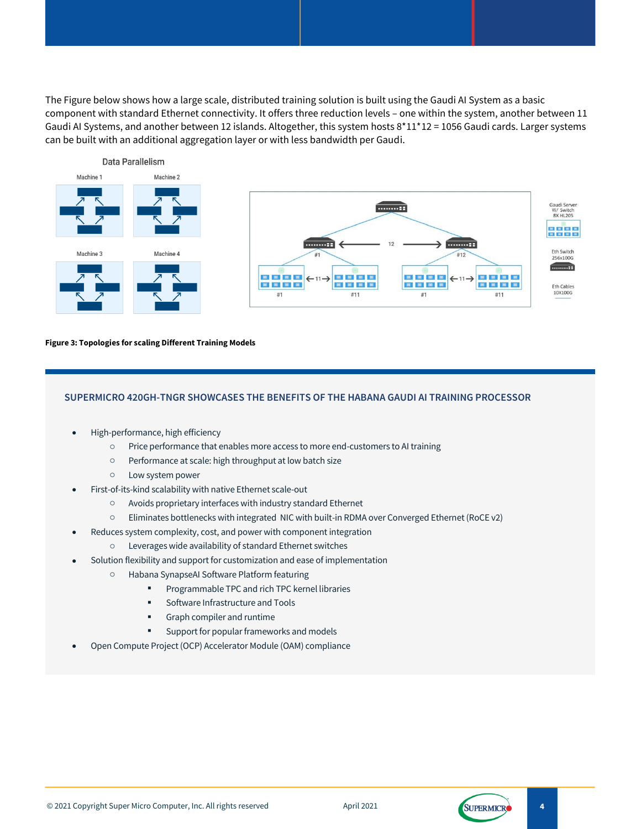The Figure below shows how a large scale, distributed training solution is built using the Gaudi AI System as a basic component with standard Ethernet connectivity. It offers three reduction levels – one within the system, another between 11 Gaudi AI Systems, and another between 12 islands. Altogether, this system hosts 8\*11\*12 = 1056 Gaudi cards. Larger systems can be built with an additional aggregation layer or with less bandwidth per Gaudi.



#### **Figure 3: Topologies for scaling Different Training Models**

#### **SUPERMICRO 420GH-TNGR SHOWCASES THE BENEFITS OF THE HABANA GAUDI AI TRAINING PROCESSOR**

- High-performance, high efficiency
	- o Price performance that enables more access to more end-customers to AI training
	- o Performance at scale: high throughput at low batch size
	- o Low system power
- First-of-its-kind scalability with native Ethernet scale-out
	- o Avoids proprietary interfaces with industry standard Ethernet
	- o Eliminates bottlenecks with integrated NIC with built-in RDMA over Converged Ethernet (RoCE v2)
	- Reduces system complexity, cost, and power with component integration
		- o Leverages wide availability of standard Ethernet switches
- Solution flexibility and support for customization and ease of implementation
	- o Habana SynapseAI Software Platform featuring
		- **•** Programmable TPC and rich TPC kernel libraries
		- Software Infrastructure and Tools
		- **■** Graph compiler and runtime
		- Support for popular frameworks and models
- Open Compute Project (OCP) Accelerator Module (OAM) compliance

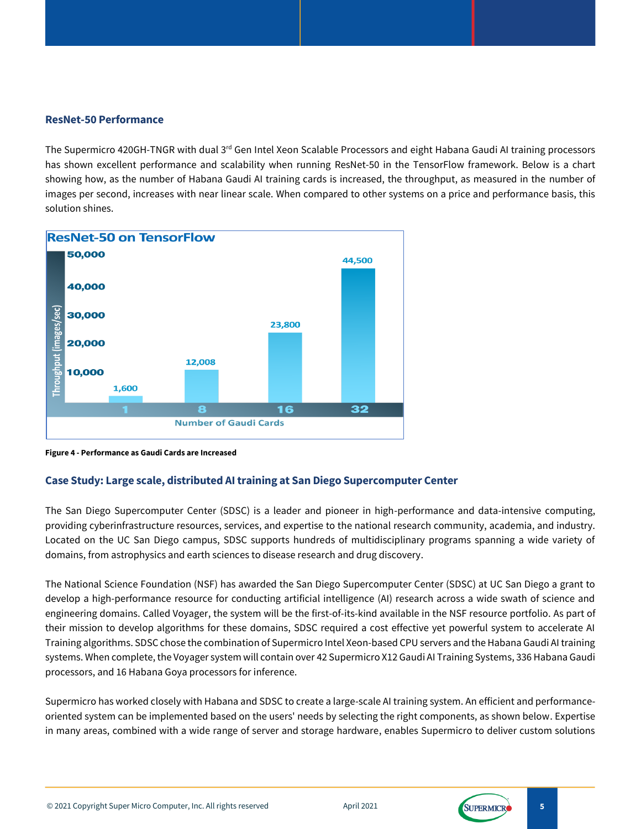## **ResNet-50 Performance**

The Supermicro 420GH-TNGR with dual 3<sup>rd</sup> Gen Intel Xeon Scalable Processors and eight Habana Gaudi AI training processors has shown excellent performance and scalability when running ResNet-50 in the TensorFlow framework. Below is a chart showing how, as the number of Habana Gaudi AI training cards is increased, the throughput, as measured in the number of images per second, increases with near linear scale. When compared to other systems on a price and performance basis, this solution shines.



**Figure 4 - Performance as Gaudi Cards are Increased**

## **Case Study: Large scale, distributed AItraining at San Diego Supercomputer Center**

The San Diego Supercomputer Center (SDSC) is a leader and pioneer in high-performance and data-intensive computing, providing cyberinfrastructure resources, services, and expertise to the national research community, academia, and industry. Located on the UC San Diego campus, SDSC supports hundreds of multidisciplinary programs spanning a wide variety of domains, from astrophysics and earth sciences to disease research and drug discovery.

The National Science Foundation (NSF) has awarded the San Diego Supercomputer Center (SDSC) at UC San Diego a grant to develop a high-performance resource for conducting artificial intelligence (AI) research across a wide swath of science and engineering domains. Called Voyager, the system will be the first-of-its-kind available in the NSF resource portfolio. As part of their mission to develop algorithms for these domains, SDSC required a cost effective yet powerful system to accelerate AI Training algorithms. SDSC chose the combination of Supermicro Intel Xeon-based CPU servers and the Habana Gaudi AI training systems. When complete, the Voyager system will contain over 42 Supermicro X12 Gaudi AI Training Systems, 336 Habana Gaudi processors, and 16 Habana Goya processors for inference.

Supermicro has worked closely with Habana and SDSC to create a large-scale AI training system. An efficient and performanceoriented system can be implemented based on the users' needs by selecting the right components, as shown below. Expertise in many areas, combined with a wide range of server and storage hardware, enables Supermicro to deliver custom solutions

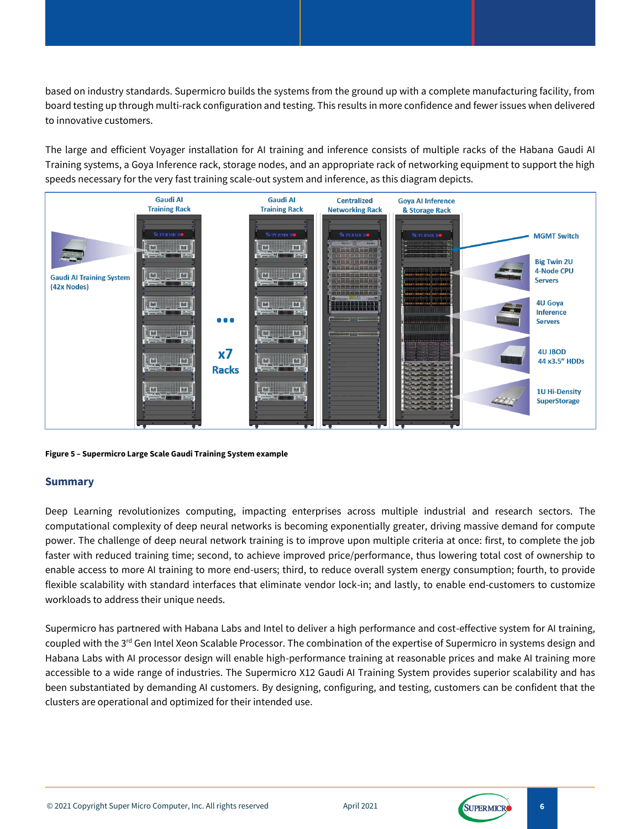based on industry standards. Supermicro builds the systems from the ground up with a complete manufacturing facility, from board testing up through multi-rack configuration and testing. This results in more confidence and fewer issues when delivered to innovative customers.

The large and efficient Voyager installation for AI training and inference consists of multiple racks of the Habana Gaudi AI Training systems, a Goya Inference rack, storage nodes, and an appropriate rack of networking equipment to support the high speeds necessary for the very fast training scale-out system and inference, as this diagram depicts.



**Figure 5 – Supermicro Large Scale Gaudi Training System example**

## **Summary**

Deep Learning revolutionizes computing, impacting enterprises across multiple industrial and research sectors. The computational complexity of deep neural networks is becoming exponentially greater, driving massive demand for compute power. The challenge of deep neural network training is to improve upon multiple criteria at once: first, to complete the job faster with reduced training time; second, to achieve improved price/performance, thus lowering total cost of ownership to enable access to more AI training to more end-users; third, to reduce overall system energy consumption; fourth, to provide flexible scalability with standard interfaces that eliminate vendor lock-in; and lastly, to enable end-customers to customize workloads to address their unique needs.

Supermicro has partnered with Habana Labs and Intel to deliver a high performance and cost-effective system for AI training, coupled with the  $3^{rd}$  Gen Intel Xeon Scalable Processor. The combination of the expertise of Supermicro in systems design and Habana Labs with AI processor design will enable high-performance training at reasonable prices and make AI training more accessible to a wide range of industries. The Supermicro X12 Gaudi AI Training System provides superior scalability and has been substantiated by demanding AI customers. By designing, configuring, and testing, customers can be confident that the clusters are operational and optimized for their intended use.